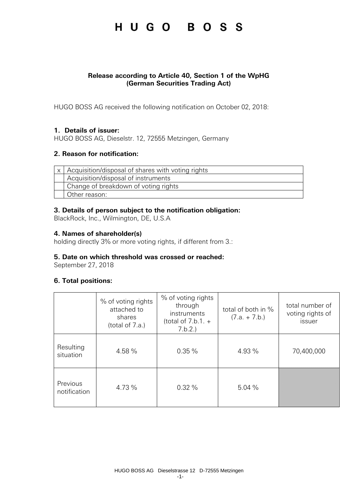#### **Release according to Article 40, Section 1 of the WpHG (German Securities Trading Act)**

HUGO BOSS AG received the following notification on October 02, 2018:

#### **1. Details of issuer:**

HUGO BOSS AG, Dieselstr. 12, 72555 Metzingen, Germany

#### **2. Reason for notification:**

| x   Acquisition/disposal of shares with voting rights |
|-------------------------------------------------------|
| Acquisition/disposal of instruments                   |
| Change of breakdown of voting rights                  |
| Other reason:                                         |

#### **3. Details of person subject to the notification obligation:**

BlackRock, Inc., Wilmington, DE, U.S.A

#### **4. Names of shareholder(s)**

holding directly 3% or more voting rights, if different from 3.:

#### **5. Date on which threshold was crossed or reached:**

September 27, 2018

### **6. Total positions:**

|                          | % of voting rights<br>attached to<br>shares<br>(total of 7.a.) | % of voting rights<br>through<br>instruments<br>(total of $7.b.1. +$<br>7.b.2. | total of both in %<br>$(7.a. + 7.b.)$ | total number of<br>voting rights of<br>issuer |
|--------------------------|----------------------------------------------------------------|--------------------------------------------------------------------------------|---------------------------------------|-----------------------------------------------|
| Resulting<br>situation   | 4.58 %                                                         | 0.35%                                                                          | 4.93 %                                | 70,400,000                                    |
| Previous<br>notification | 4.73 %                                                         | 0.32%                                                                          | 5.04%                                 |                                               |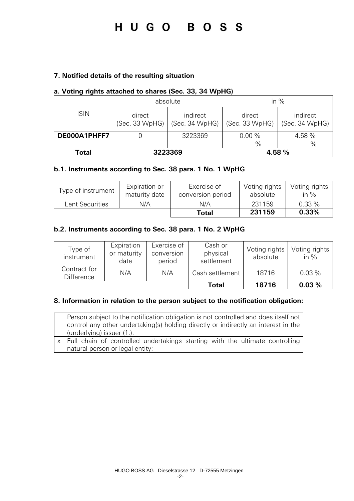#### **7. Notified details of the resulting situation**

#### **a. Voting rights attached to shares (Sec. 33, 34 WpHG)**

|              | absolute                 |                            | in $%$                   |                            |
|--------------|--------------------------|----------------------------|--------------------------|----------------------------|
| <b>ISIN</b>  | direct<br>(Sec. 33 WpHG) | indirect<br>(Sec. 34 WpHG) | direct<br>(Sec. 33 WpHG) | indirect<br>(Sec. 34 WpHG) |
| DE000A1PHFF7 |                          | 3223369                    | 0.00%                    | 4.58%                      |
|              |                          |                            | $\frac{0}{0}$            | $\%$                       |
| Total        | 3223369                  |                            |                          | 4.58 %                     |

#### **b.1. Instruments according to Sec. 38 para. 1 No. 1 WpHG**

| Type of instrument | Expiration or<br>maturity date | Exercise of<br>conversion period | Voting rights<br>absolute | Voting rights<br>in $\%$ |
|--------------------|--------------------------------|----------------------------------|---------------------------|--------------------------|
| Lent Securities    | N/A                            | N/A                              | 231159                    | 0.33%                    |
|                    |                                | Total                            | 231159                    | 0.33%                    |

#### **b.2. Instruments according to Sec. 38 para. 1 No. 2 WpHG**

| Type of<br>instrument             | Expiration<br>or maturity<br>date | Exercise of<br>conversion<br>period | Cash or<br>physical<br>settlement | Voting rights<br>absolute | Voting rights<br>in $%$ |
|-----------------------------------|-----------------------------------|-------------------------------------|-----------------------------------|---------------------------|-------------------------|
| Contract for<br><b>Difference</b> | N/A                               | N/A                                 | Cash settlement                   | 18716                     | $0.03\%$                |
|                                   |                                   |                                     | Total                             | 18716                     | 0.03%                   |

#### **8. Information in relation to the person subject to the notification obligation:**

| Person subject to the notification obligation is not controlled and does itself not<br>control any other undertaking(s) holding directly or indirectly an interest in the<br>(underlying) issuer (1.). |
|--------------------------------------------------------------------------------------------------------------------------------------------------------------------------------------------------------|
| x   Full chain of controlled undertakings starting with the ultimate controlling<br>natural person or legal entity:                                                                                    |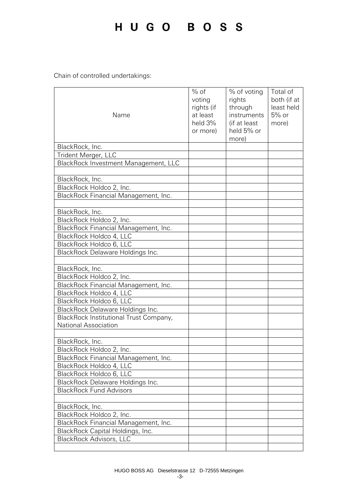Chain of controlled undertakings:

| Name                                                        | $%$ of<br>voting<br>rights (if<br>at least<br>held 3%<br>or more) | % of voting<br>rights<br>through<br>instruments<br>(if at least<br>held 5% or<br>more) | Total of<br>both (if at<br>least held<br>$5%$ or<br>more) |
|-------------------------------------------------------------|-------------------------------------------------------------------|----------------------------------------------------------------------------------------|-----------------------------------------------------------|
| BlackRock, Inc.                                             |                                                                   |                                                                                        |                                                           |
| Trident Merger, LLC                                         |                                                                   |                                                                                        |                                                           |
| BlackRock Investment Management, LLC                        |                                                                   |                                                                                        |                                                           |
|                                                             |                                                                   |                                                                                        |                                                           |
| BlackRock, Inc.                                             |                                                                   |                                                                                        |                                                           |
| BlackRock Holdco 2, Inc.                                    |                                                                   |                                                                                        |                                                           |
| BlackRock Financial Management, Inc.                        |                                                                   |                                                                                        |                                                           |
|                                                             |                                                                   |                                                                                        |                                                           |
| BlackRock, Inc.                                             |                                                                   |                                                                                        |                                                           |
| BlackRock Holdco 2, Inc.                                    |                                                                   |                                                                                        |                                                           |
| BlackRock Financial Management, Inc.                        |                                                                   |                                                                                        |                                                           |
| BlackRock Holdco 4, LLC                                     |                                                                   |                                                                                        |                                                           |
| BlackRock Holdco 6, LLC                                     |                                                                   |                                                                                        |                                                           |
| BlackRock Delaware Holdings Inc.                            |                                                                   |                                                                                        |                                                           |
|                                                             |                                                                   |                                                                                        |                                                           |
| BlackRock, Inc.                                             |                                                                   |                                                                                        |                                                           |
| BlackRock Holdco 2, Inc.                                    |                                                                   |                                                                                        |                                                           |
| BlackRock Financial Management, Inc.                        |                                                                   |                                                                                        |                                                           |
| BlackRock Holdco 4, LLC                                     |                                                                   |                                                                                        |                                                           |
| BlackRock Holdco 6, LLC                                     |                                                                   |                                                                                        |                                                           |
| BlackRock Delaware Holdings Inc.                            |                                                                   |                                                                                        |                                                           |
| BlackRock Institutional Trust Company,                      |                                                                   |                                                                                        |                                                           |
| National Association                                        |                                                                   |                                                                                        |                                                           |
|                                                             |                                                                   |                                                                                        |                                                           |
| BlackRock, Inc.                                             |                                                                   |                                                                                        |                                                           |
| BlackRock Holdco 2, Inc.                                    |                                                                   |                                                                                        |                                                           |
| BlackRock Financial Management, Inc.                        |                                                                   |                                                                                        |                                                           |
| BlackRock Holdco 4, LLC                                     |                                                                   |                                                                                        |                                                           |
| BlackRock Holdco 6, LLC<br>BlackRock Delaware Holdings Inc. |                                                                   |                                                                                        |                                                           |
| <b>BlackRock Fund Advisors</b>                              |                                                                   |                                                                                        |                                                           |
|                                                             |                                                                   |                                                                                        |                                                           |
| BlackRock, Inc.                                             |                                                                   |                                                                                        |                                                           |
| BlackRock Holdco 2, Inc.                                    |                                                                   |                                                                                        |                                                           |
| BlackRock Financial Management, Inc.                        |                                                                   |                                                                                        |                                                           |
| BlackRock Capital Holdings, Inc.                            |                                                                   |                                                                                        |                                                           |
| <b>BlackRock Advisors, LLC</b>                              |                                                                   |                                                                                        |                                                           |
|                                                             |                                                                   |                                                                                        |                                                           |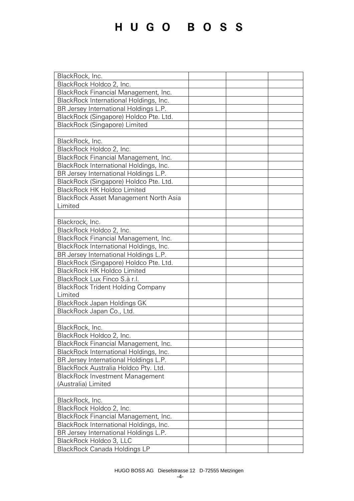| BlackRock, Inc.                          |  |
|------------------------------------------|--|
| BlackRock Holdco 2, Inc.                 |  |
| BlackRock Financial Management, Inc.     |  |
| BlackRock International Holdings, Inc.   |  |
| BR Jersey International Holdings L.P.    |  |
| BlackRock (Singapore) Holdco Pte. Ltd.   |  |
| BlackRock (Singapore) Limited            |  |
|                                          |  |
| BlackRock, Inc.                          |  |
| BlackRock Holdco 2, Inc.                 |  |
|                                          |  |
| BlackRock Financial Management, Inc.     |  |
| BlackRock International Holdings, Inc.   |  |
| BR Jersey International Holdings L.P.    |  |
| BlackRock (Singapore) Holdco Pte. Ltd.   |  |
| <b>BlackRock HK Holdco Limited</b>       |  |
| BlackRock Asset Management North Asia    |  |
| Limited                                  |  |
|                                          |  |
| Blackrock, Inc.                          |  |
| BlackRock Holdco 2, Inc.                 |  |
| BlackRock Financial Management, Inc.     |  |
| BlackRock International Holdings, Inc.   |  |
| BR Jersey International Holdings L.P.    |  |
| BlackRock (Singapore) Holdco Pte. Ltd.   |  |
| <b>BlackRock HK Holdco Limited</b>       |  |
| BlackRock Lux Finco S.à r.l.             |  |
| <b>BlackRock Trident Holding Company</b> |  |
| Limited                                  |  |
| BlackRock Japan Holdings GK              |  |
| BlackRock Japan Co., Ltd.                |  |
|                                          |  |
| BlackRock, Inc.                          |  |
| BlackRock Holdco 2, Inc.                 |  |
| BlackRock Financial Management, Inc.     |  |
| BlackRock International Holdings, Inc.   |  |
| BR Jersey International Holdings L.P.    |  |
| BlackRock Australia Holdco Pty. Ltd.     |  |
| <b>BlackRock Investment Management</b>   |  |
| (Australia) Limited                      |  |
|                                          |  |
| BlackRock, Inc.                          |  |
| BlackRock Holdco 2, Inc.                 |  |
| BlackRock Financial Management, Inc.     |  |
| BlackRock International Holdings, Inc.   |  |
| BR Jersey International Holdings L.P.    |  |
| BlackRock Holdco 3, LLC                  |  |
| BlackRock Canada Holdings LP             |  |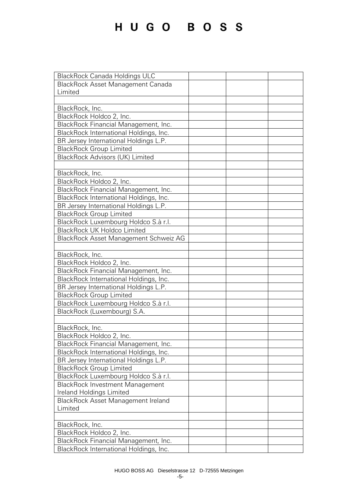| <b>BlackRock Canada Holdings ULC</b>     |  |
|------------------------------------------|--|
| <b>BlackRock Asset Management Canada</b> |  |
| Limited                                  |  |
|                                          |  |
| BlackRock, Inc.                          |  |
| BlackRock Holdco 2, Inc.                 |  |
| BlackRock Financial Management, Inc.     |  |
| BlackRock International Holdings, Inc.   |  |
| BR Jersey International Holdings L.P.    |  |
| <b>BlackRock Group Limited</b>           |  |
| <b>BlackRock Advisors (UK) Limited</b>   |  |
|                                          |  |
| BlackRock, Inc.                          |  |
| BlackRock Holdco 2, Inc.                 |  |
| BlackRock Financial Management, Inc.     |  |
| BlackRock International Holdings, Inc.   |  |
| BR Jersey International Holdings L.P.    |  |
| <b>BlackRock Group Limited</b>           |  |
| BlackRock Luxembourg Holdco S.à r.l.     |  |
| <b>BlackRock UK Holdco Limited</b>       |  |
| BlackRock Asset Management Schweiz AG    |  |
|                                          |  |
| BlackRock, Inc.                          |  |
| BlackRock Holdco 2, Inc.                 |  |
| BlackRock Financial Management, Inc.     |  |
| BlackRock International Holdings, Inc.   |  |
| BR Jersey International Holdings L.P.    |  |
| <b>BlackRock Group Limited</b>           |  |
| BlackRock Luxembourg Holdco S.à r.l.     |  |
| BlackRock (Luxembourg) S.A.              |  |
|                                          |  |
| BlackRock, Inc.                          |  |
| BlackRock Holdco 2, Inc.                 |  |
| BlackRock Financial Management, Inc.     |  |
| BlackRock International Holdings, Inc.   |  |
| BR Jersey International Holdings L.P.    |  |
| <b>BlackRock Group Limited</b>           |  |
| BlackRock Luxembourg Holdco S.à r.l.     |  |
| <b>BlackRock Investment Management</b>   |  |
| Ireland Holdings Limited                 |  |
| BlackRock Asset Management Ireland       |  |
| Limited                                  |  |
|                                          |  |
| BlackRock, Inc.                          |  |
| BlackRock Holdco 2, Inc.                 |  |
| BlackRock Financial Management, Inc.     |  |
| BlackRock International Holdings, Inc.   |  |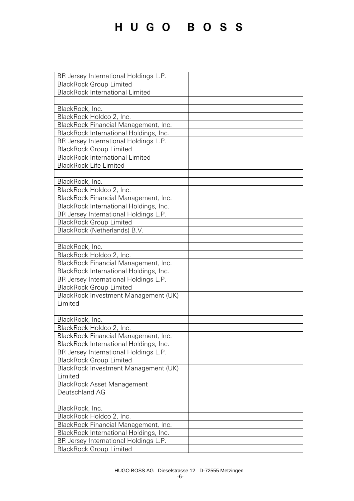| BR Jersey International Holdings L.P.  |  |
|----------------------------------------|--|
| <b>BlackRock Group Limited</b>         |  |
| <b>BlackRock International Limited</b> |  |
|                                        |  |
| BlackRock, Inc.                        |  |
| BlackRock Holdco 2, Inc.               |  |
| BlackRock Financial Management, Inc.   |  |
| BlackRock International Holdings, Inc. |  |
| BR Jersey International Holdings L.P.  |  |
| <b>BlackRock Group Limited</b>         |  |
| <b>BlackRock International Limited</b> |  |
| <b>BlackRock Life Limited</b>          |  |
|                                        |  |
| BlackRock, Inc.                        |  |
| BlackRock Holdco 2, Inc.               |  |
| BlackRock Financial Management, Inc.   |  |
| BlackRock International Holdings, Inc. |  |
| BR Jersey International Holdings L.P.  |  |
| <b>BlackRock Group Limited</b>         |  |
| BlackRock (Netherlands) B.V.           |  |
|                                        |  |
| BlackRock, Inc.                        |  |
| BlackRock Holdco 2, Inc.               |  |
| BlackRock Financial Management, Inc.   |  |
| BlackRock International Holdings, Inc. |  |
| BR Jersey International Holdings L.P.  |  |
| <b>BlackRock Group Limited</b>         |  |
| BlackRock Investment Management (UK)   |  |
| Limited                                |  |
|                                        |  |
| BlackRock, Inc.                        |  |
| BlackRock Holdco 2, Inc.               |  |
| BlackRock Financial Management, Inc.   |  |
| BlackRock International Holdings, Inc. |  |
| BR Jersey International Holdings L.P.  |  |
| <b>BlackRock Group Limited</b>         |  |
| BlackRock Investment Management (UK)   |  |
| Limited                                |  |
| <b>BlackRock Asset Management</b>      |  |
| Deutschland AG                         |  |
|                                        |  |
| BlackRock, Inc.                        |  |
| BlackRock Holdco 2, Inc.               |  |
| BlackRock Financial Management, Inc.   |  |
| BlackRock International Holdings, Inc. |  |
| BR Jersey International Holdings L.P.  |  |
| <b>BlackRock Group Limited</b>         |  |